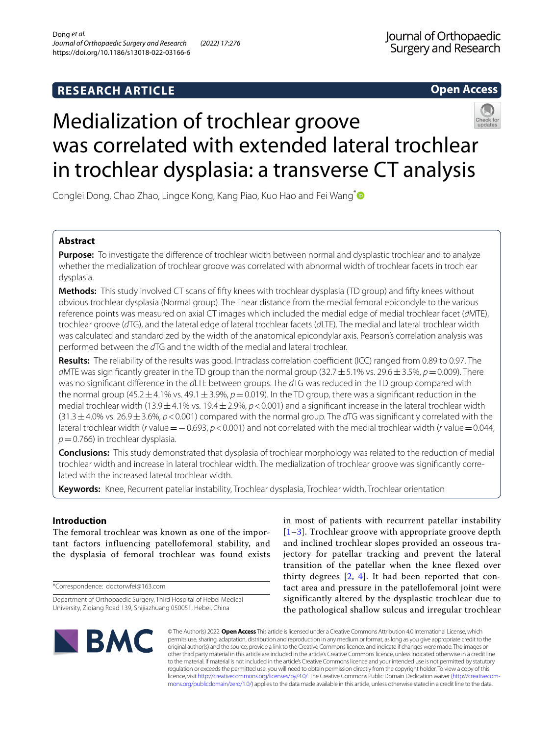**Open Access**

# Medialization of trochlear groove was correlated with extended lateral trochlear in trochlear dysplasia: a transverse CT analysis

Conglei Dong, Chao Zhao, Lingce Kong, Kang Piao, Kuo Hao and Fei Wang<sup>\*</sup>

# **Abstract**

**Purpose:** To investigate the diference of trochlear width between normal and dysplastic trochlear and to analyze whether the medialization of trochlear groove was correlated with abnormal width of trochlear facets in trochlear dysplasia.

**Methods:** This study involved CT scans of ffty knees with trochlear dysplasia (TD group) and ffty knees without obvious trochlear dysplasia (Normal group). The linear distance from the medial femoral epicondyle to the various reference points was measured on axial CT images which included the medial edge of medial trochlear facet (*d*MTE), trochlear groove (*d*TG), and the lateral edge of lateral trochlear facets (*d*LTE). The medial and lateral trochlear width was calculated and standardized by the width of the anatomical epicondylar axis. Pearson's correlation analysis was performed between the *d*TG and the width of the medial and lateral trochlear.

**Results:** The reliability of the results was good. Intraclass correlation coefficient (ICC) ranged from 0.89 to 0.97. The *d*MTE was signifcantly greater in the TD group than the normal group (32.7±5.1% vs. 29.6±3.5%, *p*=0.009). There was no signifcant diference in the *d*LTE between groups. The *d*TG was reduced in the TD group compared with the normal group (45.2 $\pm$ 4.1% vs. 49.1 $\pm$ 3.9%,  $p$  = 0.019). In the TD group, there was a significant reduction in the medial trochlear width (13.9±4.1% vs. 19.4±2.9%, *p*<0.001) and a signifcant increase in the lateral trochlear width (31.3±4.0% vs. 26.9±3.6%, *p*<0.001) compared with the normal group. The *d*TG was signifcantly correlated with the lateral trochlear width (*r* value=−0.693, *p*<0.001) and not correlated with the medial trochlear width (*r* value=0.044, *p*=0.766) in trochlear dysplasia.

**Conclusions:** This study demonstrated that dysplasia of trochlear morphology was related to the reduction of medial trochlear width and increase in lateral trochlear width. The medialization of trochlear groove was signifcantly correlated with the increased lateral trochlear width.

**Keywords:** Knee, Recurrent patellar instability, Trochlear dysplasia, Trochlear width, Trochlear orientation

# **Introduction**

The femoral trochlear was known as one of the important factors influencing patellofemoral stability, and the dysplasia of femoral trochlear was found exists

\*Correspondence: doctorwfei@163.com

in most of patients with recurrent patellar instability [[1](#page-5-0)[–3](#page-5-1)]. Trochlear groove with appropriate groove depth and inclined trochlear slopes provided an osseous trajectory for patellar tracking and prevent the lateral transition of the patellar when the knee flexed over thirty degrees [\[2](#page-5-2), [4](#page-5-3)]. It had been reported that contact area and pressure in the patellofemoral joint were significantly altered by the dysplastic trochlear due to the pathological shallow sulcus and irregular trochlear



© The Author(s) 2022. **Open Access** This article is licensed under a Creative Commons Attribution 4.0 International License, which permits use, sharing, adaptation, distribution and reproduction in any medium or format, as long as you give appropriate credit to the original author(s) and the source, provide a link to the Creative Commons licence, and indicate if changes were made. The images or other third party material in this article are included in the article's Creative Commons licence, unless indicated otherwise in a credit line to the material. If material is not included in the article's Creative Commons licence and your intended use is not permitted by statutory regulation or exceeds the permitted use, you will need to obtain permission directly from the copyright holder. To view a copy of this licence, visit [http://creativecommons.org/licenses/by/4.0/.](http://creativecommons.org/licenses/by/4.0/) The Creative Commons Public Domain Dedication waiver ([http://creativecom](http://creativecommons.org/publicdomain/zero/1.0/)[mons.org/publicdomain/zero/1.0/\)](http://creativecommons.org/publicdomain/zero/1.0/) applies to the data made available in this article, unless otherwise stated in a credit line to the data.

Department of Orthopaedic Surgery, Third Hospital of Hebei Medical University, Ziqiang Road 139, Shijiazhuang 050051, Hebei, China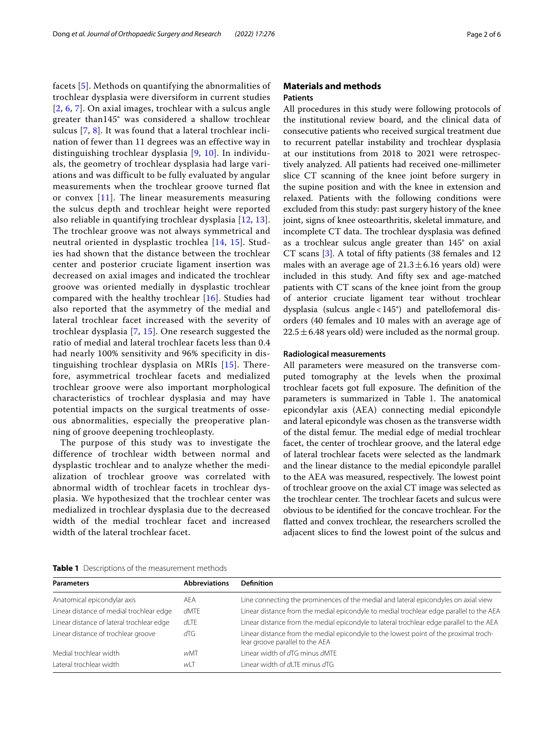facets [[5](#page-5-4)]. Methods on quantifying the abnormalities of trochlear dysplasia were diversiform in current studies [[2](#page-5-2), [6](#page-5-5), [7\]](#page-5-6). On axial images, trochlear with a sulcus angle greater than145° was considered a shallow trochlear sulcus [\[7,](#page-5-6) [8\]](#page-5-7). It was found that a lateral trochlear inclination of fewer than 11 degrees was an effective way in distinguishing trochlear dysplasia [[9,](#page-5-8) [10\]](#page-5-9). In individuals, the geometry of trochlear dysplasia had large variations and was difficult to be fully evaluated by angular measurements when the trochlear groove turned flat or convex  $[11]$  $[11]$  $[11]$ . The linear measurements measuring the sulcus depth and trochlear height were reported also reliable in quantifying trochlear dysplasia [\[12,](#page-5-11) [13\]](#page-5-12). The trochlear groove was not always symmetrical and neutral oriented in dysplastic trochlea [\[14](#page-5-13), [15\]](#page-5-14). Studies had shown that the distance between the trochlear center and posterior cruciate ligament insertion was decreased on axial images and indicated the trochlear groove was oriented medially in dysplastic trochlear compared with the healthy trochlear [[16\]](#page-5-15). Studies had also reported that the asymmetry of the medial and lateral trochlear facet increased with the severity of trochlear dysplasia [[7,](#page-5-6) [15](#page-5-14)]. One research suggested the ratio of medial and lateral trochlear facets less than 0.4 had nearly 100% sensitivity and 96% specificity in distinguishing trochlear dysplasia on MRIs [\[15\]](#page-5-14). Therefore, asymmetrical trochlear facets and medialized trochlear groove were also important morphological characteristics of trochlear dysplasia and may have potential impacts on the surgical treatments of osseous abnormalities, especially the preoperative planning of groove deepening trochleoplasty.

The purpose of this study was to investigate the difference of trochlear width between normal and dysplastic trochlear and to analyze whether the medialization of trochlear groove was correlated with abnormal width of trochlear facets in trochlear dysplasia. We hypothesized that the trochlear center was medialized in trochlear dysplasia due to the decreased width of the medial trochlear facet and increased width of the lateral trochlear facet.

# **Materials and methods Patients**

All procedures in this study were following protocols of the institutional review board, and the clinical data of consecutive patients who received surgical treatment due to recurrent patellar instability and trochlear dysplasia at our institutions from 2018 to 2021 were retrospectively analyzed. All patients had received one-millimeter slice CT scanning of the knee joint before surgery in the supine position and with the knee in extension and relaxed. Patients with the following conditions were excluded from this study: past surgery history of the knee joint, signs of knee osteoarthritis, skeletal immature, and incomplete CT data. The trochlear dysplasia was defined as a trochlear sulcus angle greater than 145° on axial CT scans [[3](#page-5-1)]. A total of ffty patients (38 females and 12 males with an average age of  $21.3 \pm 6.16$  years old) were included in this study. And ffty sex and age-matched patients with CT scans of the knee joint from the group of anterior cruciate ligament tear without trochlear dysplasia (sulcus angle<145°) and patellofemoral disorders (40 females and 10 males with an average age of  $22.5 \pm 6.48$  years old) were included as the normal group.

## **Radiological measurements**

All parameters were measured on the transverse computed tomography at the levels when the proximal trochlear facets got full exposure. The definition of the parameters is summarized in Table [1.](#page-1-0) The anatomical epicondylar axis (AEA) connecting medial epicondyle and lateral epicondyle was chosen as the transverse width of the distal femur. The medial edge of medial trochlear facet, the center of trochlear groove, and the lateral edge of lateral trochlear facets were selected as the landmark and the linear distance to the medial epicondyle parallel to the AEA was measured, respectively. The lowest point of trochlear groove on the axial CT image was selected as the trochlear center. The trochlear facets and sulcus were obvious to be identifed for the concave trochlear. For the fatted and convex trochlear, the researchers scrolled the adjacent slices to fnd the lowest point of the sulcus and

<span id="page-1-0"></span>**Table 1** Descriptions of the measurement methods

| <b>Parameters</b>                         | <b>Abbreviations</b> | <b>Definition</b>                                                                                                        |
|-------------------------------------------|----------------------|--------------------------------------------------------------------------------------------------------------------------|
| Anatomical epicondylar axis               | AFA                  | Line connecting the prominences of the medial and lateral epicondyles on axial view                                      |
| Linear distance of medial trochlear edge  | <b>dMTE</b>          | Linear distance from the medial epicondyle to medial trochlear edge parallel to the AEA                                  |
| Linear distance of lateral trochlear edge | $d$ l TF             | Linear distance from the medial epicondyle to lateral trochlear edge parallel to the AEA                                 |
| Linear distance of trochlear groove       | dTG                  | Linear distance from the medial epicondyle to the lowest point of the proximal troch-<br>lear groove parallel to the AEA |
| Medial trochlear width                    | wMT                  | Linear width of dTG minus dMTE                                                                                           |
| Lateral trochlear width                   | wLT                  | Linear width of dLTF minus dTG                                                                                           |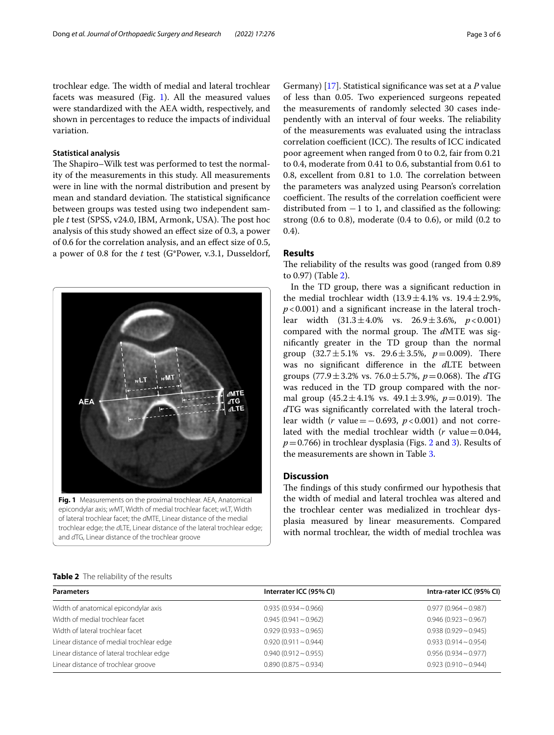trochlear edge. The width of medial and lateral trochlear facets was measured (Fig. [1\)](#page-2-0). All the measured values were standardized with the AEA width, respectively, and shown in percentages to reduce the impacts of individual variation.

# **Statistical analysis**

The Shapiro–Wilk test was performed to test the normality of the measurements in this study. All measurements were in line with the normal distribution and present by mean and standard deviation. The statistical significance between groups was tested using two independent sample *t* test (SPSS, v24.0, IBM, Armonk, USA). The post hoc analysis of this study showed an efect size of 0.3, a power of 0.6 for the correlation analysis, and an efect size of 0.5, a power of 0.8 for the *t* test (G\*Power, v.3.1, Dusseldorf,



<span id="page-2-0"></span>epicondylar axis; *w*MT, Width of medial trochlear facet; *w*LT, Width of lateral trochlear facet; the *d*MTE, Linear distance of the medial trochlear edge; the *d*LTE, Linear distance of the lateral trochlear edge; and *d*TG, Linear distance of the trochlear groove

Germany) [[17](#page-5-16)]. Statistical signifcance was set at a *P* value of less than 0.05. Two experienced surgeons repeated the measurements of randomly selected 30 cases independently with an interval of four weeks. The reliability of the measurements was evaluated using the intraclass correlation coefficient (ICC). The results of ICC indicated poor agreement when ranged from 0 to 0.2, fair from 0.21 to 0.4, moderate from 0.41 to 0.6, substantial from 0.61 to 0.8, excellent from 0.81 to 1.0. The correlation between the parameters was analyzed using Pearson's correlation coefficient. The results of the correlation coefficient were distributed from  $-1$  to 1, and classified as the following: strong (0.6 to 0.8), moderate (0.4 to 0.6), or mild (0.2 to 0.4).

# **Results**

The reliability of the results was good (ranged from 0.89) to 0.97) (Table [2\)](#page-2-1).

In the TD group, there was a signifcant reduction in the medial trochlear width  $(13.9 \pm 4.1\% \text{ vs. } 19.4 \pm 2.9\%$ ,  $p$ <0.001) and a significant increase in the lateral trochlear width (31.3±4.0% vs. 26.9±3.6%, *p*<0.001) compared with the normal group. The dMTE was signifcantly greater in the TD group than the normal group  $(32.7 \pm 5.1\% \text{ vs. } 29.6 \pm 3.5\%, p=0.009)$ . There was no signifcant diference in the *d*LTE between groups  $(77.9 \pm 3.2\% \text{ vs. } 76.0 \pm 5.7\%, p = 0.068)$ . The dTG was reduced in the TD group compared with the normal group  $(45.2 \pm 4.1\% \text{ vs. } 49.1 \pm 3.9\%, p=0.019)$ . The *d*TG was signifcantly correlated with the lateral trochlear width (*r* value=−0.693, *p*<0.001) and not correlated with the medial trochlear width  $(r \text{ value}=0.044,$  $p=0.766$ ) in trochlear dysplasia (Figs. [2](#page-3-0) and [3\)](#page-3-1). Results of the measurements are shown in Table [3](#page-3-2).

# **Discussion**

The findings of this study confirmed our hypothesis that the width of medial and lateral trochlea was altered and the trochlear center was medialized in trochlear dysplasia measured by linear measurements. Compared with normal trochlear, the width of medial trochlea was

## <span id="page-2-1"></span>**Table 2** The reliability of the results

| <b>Parameters</b>                         | Interrater ICC (95% CI)   | Intra-rater ICC (95% CI)  |
|-------------------------------------------|---------------------------|---------------------------|
| Width of anatomical epicondylar axis      | $0.935(0.934 \sim 0.966)$ | $0.977(0.964 \sim 0.987)$ |
| Width of medial trochlear facet           | $0.945(0.941 \sim 0.962)$ | $0.946(0.923 \sim 0.967)$ |
| Width of lateral trochlear facet          | $0.929(0.933 \sim 0.965)$ | $0.938(0.929 \sim 0.945)$ |
| Linear distance of medial trochlear edge  | $0.920(0.911 \sim 0.944)$ | $0.933(0.914 \sim 0.954)$ |
| Linear distance of lateral trochlear edge | $0.940(0.912 \sim 0.955)$ | $0.956(0.934 \sim 0.977)$ |
| Linear distance of trochlear groove       | $0.890(0.875 \sim 0.934)$ | $0.923(0.910 \sim 0.944)$ |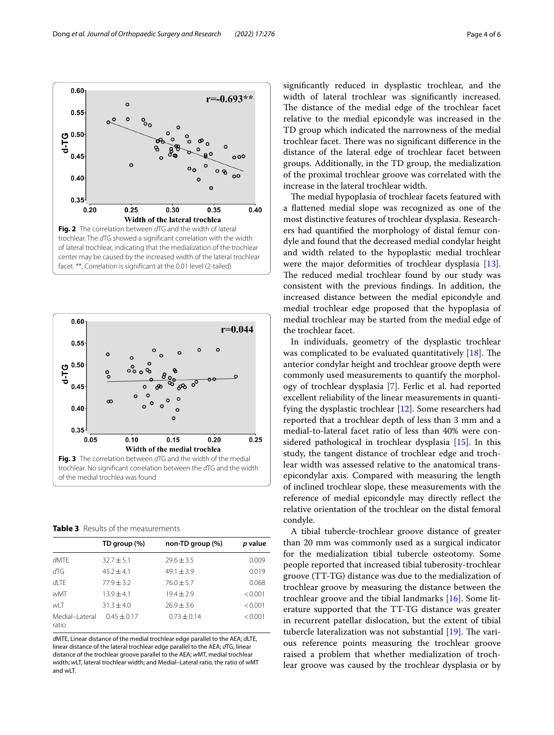

<span id="page-3-0"></span>

<span id="page-3-2"></span><span id="page-3-1"></span>**Table 3** Results of the measurements

|                         | TD group (%)    | non-TD group (%) | p value |
|-------------------------|-----------------|------------------|---------|
| $d$ MTF                 | $32.7 + 5.1$    | $79.6 + 3.5$     | 0.009   |
| dTG                     | $45.2 + 4.1$    | $49.1 + 3.9$     | 0.019   |
| $d$ l TF                | $77.9 + 3.2$    | $76.0 + 5.7$     | 0.068   |
| wMT                     | $13.9 + 4.1$    | $19.4 + 2.9$     | < 0.001 |
| wІТ                     | $31.3 + 4.0$    | $76.9 + 3.6$     | < 0.001 |
| Medial-Lateral<br>ratio | $0.45 \pm 0.17$ | $0.73 + 0.14$    | < 0.001 |

*d*MTE, Linear distance of the medial trochlear edge parallel to the AEA; *d*LTE, linear distance of the lateral trochlear edge parallel to the AEA; *d*TG, linear distance of the trochlear groove parallel to the AEA; *w*MT, medial trochlear width; *w*LT, lateral trochlear width; and Medial–Lateral ratio, the ratio of wMT and wLT.

signifcantly reduced in dysplastic trochlear, and the width of lateral trochlear was signifcantly increased. The distance of the medial edge of the trochlear facet relative to the medial epicondyle was increased in the TD group which indicated the narrowness of the medial trochlear facet. There was no significant difference in the distance of the lateral edge of trochlear facet between groups. Additionally, in the TD group, the medialization of the proximal trochlear groove was correlated with the increase in the lateral trochlear width.

The medial hypoplasia of trochlear facets featured with a fattened medial slope was recognized as one of the most distinctive features of trochlear dysplasia. Researchers had quantifed the morphology of distal femur condyle and found that the decreased medial condylar height and width related to the hypoplastic medial trochlear were the major deformities of trochlear dysplasia [\[13](#page-5-12)]. The reduced medial trochlear found by our study was consistent with the previous fndings. In addition, the increased distance between the medial epicondyle and medial trochlear edge proposed that the hypoplasia of medial trochlear may be started from the medial edge of the trochlear facet.

In individuals, geometry of the dysplastic trochlear was complicated to be evaluated quantitatively  $[18]$  $[18]$ . The anterior condylar height and trochlear groove depth were commonly used measurements to quantify the morphology of trochlear dysplasia [[7](#page-5-6)]. Ferlic et al. had reported excellent reliability of the linear measurements in quantifying the dysplastic trochlear [\[12](#page-5-11)]. Some researchers had reported that a trochlear depth of less than 3 mm and a medial-to-lateral facet ratio of less than 40% were considered pathological in trochlear dysplasia [\[15\]](#page-5-14). In this study, the tangent distance of trochlear edge and trochlear width was assessed relative to the anatomical transepicondylar axis. Compared with measuring the length of inclined trochlear slope, these measurements with the reference of medial epicondyle may directly refect the relative orientation of the trochlear on the distal femoral condyle.

A tibial tubercle-trochlear groove distance of greater than 20 mm was commonly used as a surgical indicator for the medialization tibial tubercle osteotomy. Some people reported that increased tibial tuberosity-trochlear groove (TT-TG) distance was due to the medialization of trochlear groove by measuring the distance between the trochlear groove and the tibial landmarks [[16\]](#page-5-15). Some literature supported that the TT-TG distance was greater in recurrent patellar dislocation, but the extent of tibial tubercle lateralization was not substantial  $[19]$  $[19]$ . The various reference points measuring the trochlear groove raised a problem that whether medialization of trochlear groove was caused by the trochlear dysplasia or by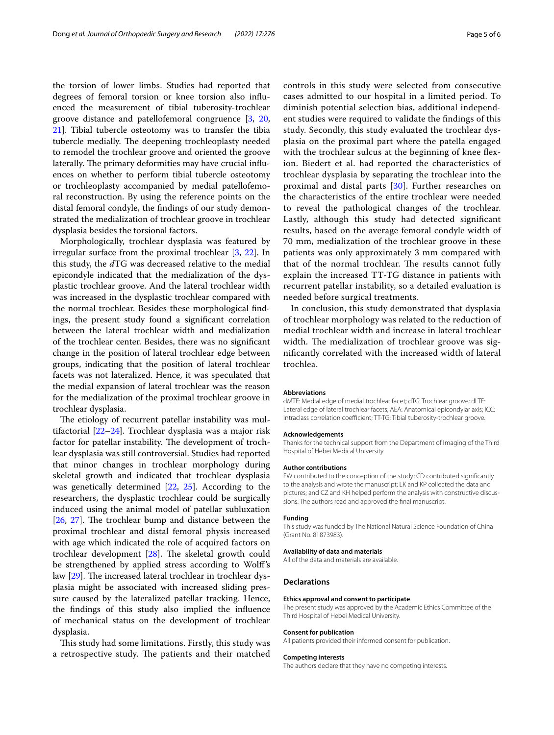the torsion of lower limbs. Studies had reported that degrees of femoral torsion or knee torsion also infuenced the measurement of tibial tuberosity-trochlear groove distance and patellofemoral congruence [[3,](#page-5-1) [20](#page-5-19), [21\]](#page-5-20). Tibial tubercle osteotomy was to transfer the tibia tubercle medially. The deepening trochleoplasty needed to remodel the trochlear groove and oriented the groove laterally. The primary deformities may have crucial influences on whether to perform tibial tubercle osteotomy or trochleoplasty accompanied by medial patellofemoral reconstruction. By using the reference points on the distal femoral condyle, the fndings of our study demonstrated the medialization of trochlear groove in trochlear dysplasia besides the torsional factors.

Morphologically, trochlear dysplasia was featured by irregular surface from the proximal trochlear [\[3](#page-5-1), [22\]](#page-5-21). In this study, the *d*TG was decreased relative to the medial epicondyle indicated that the medialization of the dysplastic trochlear groove. And the lateral trochlear width was increased in the dysplastic trochlear compared with the normal trochlear. Besides these morphological fndings, the present study found a signifcant correlation between the lateral trochlear width and medialization of the trochlear center. Besides, there was no signifcant change in the position of lateral trochlear edge between groups, indicating that the position of lateral trochlear facets was not lateralized. Hence, it was speculated that the medial expansion of lateral trochlear was the reason for the medialization of the proximal trochlear groove in trochlear dysplasia.

The etiology of recurrent patellar instability was multifactorial [\[22–](#page-5-21)[24\]](#page-5-22). Trochlear dysplasia was a major risk factor for patellar instability. The development of trochlear dysplasia was still controversial. Studies had reported that minor changes in trochlear morphology during skeletal growth and indicated that trochlear dysplasia was genetically determined [\[22](#page-5-21), [25](#page-5-23)]. According to the researchers, the dysplastic trochlear could be surgically induced using the animal model of patellar subluxation  $[26, 27]$  $[26, 27]$  $[26, 27]$  $[26, 27]$ . The trochlear bump and distance between the proximal trochlear and distal femoral physis increased with age which indicated the role of acquired factors on trochlear development  $[28]$  $[28]$ . The skeletal growth could be strengthened by applied stress according to Wolf's law  $[29]$  $[29]$ . The increased lateral trochlear in trochlear dysplasia might be associated with increased sliding pressure caused by the lateralized patellar tracking. Hence, the fndings of this study also implied the infuence of mechanical status on the development of trochlear dysplasia.

This study had some limitations. Firstly, this study was a retrospective study. The patients and their matched controls in this study were selected from consecutive cases admitted to our hospital in a limited period. To diminish potential selection bias, additional independent studies were required to validate the fndings of this study. Secondly, this study evaluated the trochlear dysplasia on the proximal part where the patella engaged with the trochlear sulcus at the beginning of knee fexion. Biedert et al. had reported the characteristics of trochlear dysplasia by separating the trochlear into the proximal and distal parts [[30](#page-5-28)]. Further researches on the characteristics of the entire trochlear were needed to reveal the pathological changes of the trochlear. Lastly, although this study had detected signifcant results, based on the average femoral condyle width of 70 mm, medialization of the trochlear groove in these patients was only approximately 3 mm compared with that of the normal trochlear. The results cannot fully explain the increased TT-TG distance in patients with recurrent patellar instability, so a detailed evaluation is needed before surgical treatments.

In conclusion, this study demonstrated that dysplasia of trochlear morphology was related to the reduction of medial trochlear width and increase in lateral trochlear width. The medialization of trochlear groove was signifcantly correlated with the increased width of lateral trochlea.

#### **Abbreviations**

dMTE: Medial edge of medial trochlear facet; dTG: Trochlear groove; dLTE: Lateral edge of lateral trochlear facets; AEA: Anatomical epicondylar axis; ICC: Intraclass correlation coefficient; TT-TG: Tibial tuberosity-trochlear groove.

#### **Acknowledgements**

Thanks for the technical support from the Department of Imaging of the Third Hospital of Hebei Medical University.

#### **Author contributions**

FW contributed to the conception of the study; CD contributed signifcantly to the analysis and wrote the manuscript; LK and KP collected the data and pictures; and CZ and KH helped perform the analysis with constructive discussions. The authors read and approved the fnal manuscript.

#### **Funding**

This study was funded by The National Natural Science Foundation of China (Grant No. 81873983).

### **Availability of data and materials**

All of the data and materials are available.

## **Declarations**

#### **Ethics approval and consent to participate**

The present study was approved by the Academic Ethics Committee of the Third Hospital of Hebei Medical University.

## **Consent for publication**

All patients provided their informed consent for publication.

#### **Competing interests**

The authors declare that they have no competing interests.